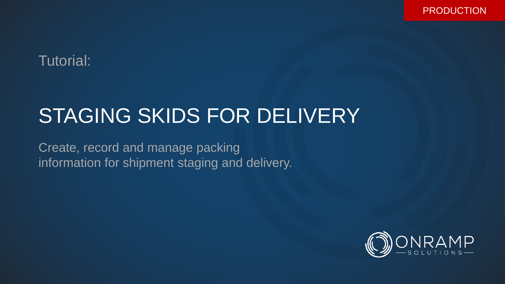## Tutorial:

# STAGING SKIDS FOR DELIVERY

Create, record and manage packing information for shipment staging and delivery.

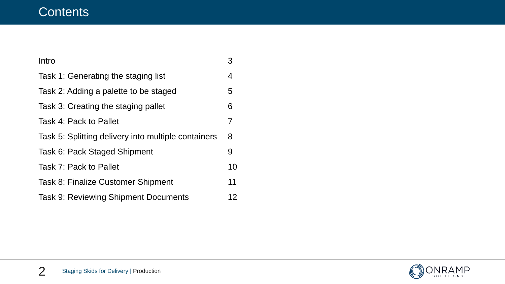### **Contents**

| Intro                                               | 3              |
|-----------------------------------------------------|----------------|
| Task 1: Generating the staging list                 | 4              |
| Task 2: Adding a palette to be staged               | 5              |
| Task 3: Creating the staging pallet                 | 6              |
| Task 4: Pack to Pallet                              | $\overline{7}$ |
| Task 5: Splitting delivery into multiple containers | 8              |
| Task 6: Pack Staged Shipment                        | 9              |
| Task 7: Pack to Pallet                              | 10             |
| <b>Task 8: Finalize Customer Shipment</b>           | 11             |
| <b>Task 9: Reviewing Shipment Documents</b>         | 12             |

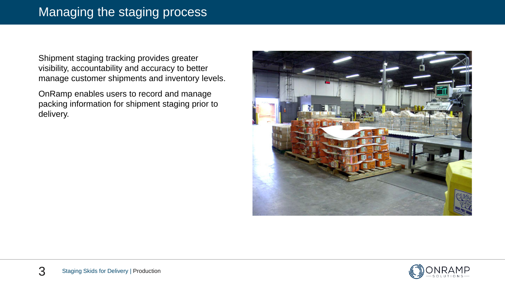Shipment staging tracking provides greater visibility, accountability and accuracy to better manage customer shipments and inventory levels.

OnRamp enables users to record and manage packing information for shipment staging prior to delivery.



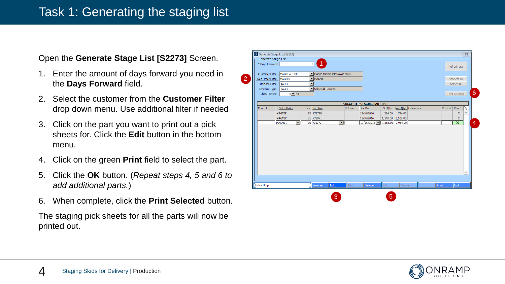### Task 1: Generating the staging list

#### Open the **Generate Stage List [S2273]** Screen.

1. Enter the amount of days forward you need in the **Days Forward** field.

2

- 2. Select the customer from the **Customer Filter**  drop down menu. Use additional filter if needed
- 3. Click on the part you want to print out a pick sheets for. Click the **Edit** button in the bottom menu.
- 4. Click on the green **Print** field to select the part.
- 5. Click the **OK** button. (*Repeat steps 4, 5 and 6 to add additional parts.* )
- 6. When complete, click the **Print Selected** button.

The staging pick sheets for all the parts will now be printed out.

|                                           |                      |                              |               |                                    |          |           |          |         |                | $\Sigma$ |
|-------------------------------------------|----------------------|------------------------------|---------------|------------------------------------|----------|-----------|----------|---------|----------------|----------|
| Generate Stage List .                     |                      |                              |               |                                    |          |           |          |         |                |          |
| **Days Forward:                           | $\overline{5}$       | $\blacklozenge$              |               |                                    |          |           |          |         | Refresh List   |          |
| Customer Filter: MAGNEW SHIP              |                      | Magna Mirrors (Newaygo ship) |               |                                    |          |           |          |         |                |          |
| Sales Order Filter: MAGMIR                |                      | $\blacksquare$ MAGMIR        |               |                                    |          |           |          |         | Unselect All   |          |
| Release Filter: <all></all>               | $\blacktriangledown$ |                              |               |                                    |          |           |          |         | Select All     |          |
| Schedule Type: <all></all>                |                      | Select All Records           |               |                                    |          |           |          |         |                |          |
| $0$ $\blacksquare$ No<br>Show Printed:    |                      |                              |               |                                    |          |           |          |         | Print Selected |          |
|                                           |                      |                              |               |                                    |          |           |          |         |                |          |
|                                           |                      |                              |               | <b>SUGGESTED STAGING PART LIST</b> |          |           |          |         |                |          |
| Sales Order                               |                      | Line Part No.                | Release       | Due Date                           | SO Qty.  | Inv. Qty. | Comments | Printed | Print?         |          |
| <b>MAGMIR</b>                             |                      | 23 771799                    |               | 12/16/2016                         | 224.00   | 784.00    |          |         | $\mathsf X$    |          |
| <b>MAGMIR</b>                             |                      | 31 772971                    |               | 12/16/2016                         | 1,140.00 | 2,508.00  |          |         | X              |          |
| <b>MAGMIR</b><br>$\vert \mathbf{v} \vert$ |                      | ᅬ<br>30 772970               |               | $12/16/2016$   1,368.00   2,964.00 |          |           |          |         | ᆓ              |          |
|                                           |                      |                              |               |                                    |          |           |          |         |                |          |
| Fi for Help                               |                      | Edit                         |               |                                    |          |           |          |         |                |          |
|                                           |                      |                              | <b>Browse</b> | Add                                | Delete   | ОK        |          | Cancel  | <b>Print</b>   | Exit     |

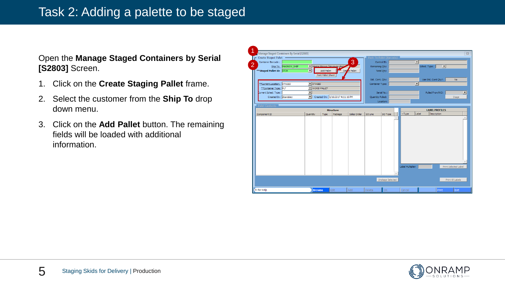### Task 2: Adding a palette to be staged

#### Open the **Manage Staged Containers by Serial [S2803]** Screen.

- 1. Click on the **Create Staging Pallet** frame.
- 2. Select the customer from the **Ship To** drop down menu.
- 3. Click on the **Add Pallet** button. The remaining fields will be loaded with additional information.

| $\overline{\mathbb{Z}}$<br>Manage Staged Containers By Serial [S2803]<br>Create Staged Pallet<br>Pack To Pallet (Barcode)<br>3<br>$\vert \cdot \vert$<br>Container Barcode:<br>Control ID:<br>$\overline{2}$<br>Magna Mirrors (Newaygo ship)<br>Ship To: MAGNEW SHIP<br>Remaining Qty:<br>Sched. Type:<br>— ≖l<br>$\overline{\phantom{a}}$<br>** Staged Pallet ID: ST39<br>Dels e Pallet<br><b>Add Pallet</b><br>Total Qty:<br><b>Print Pallet Sheet</b><br>Use Std. Cont Qty?:<br>Std. Cont. Qty:<br>No<br>$\blacktriangleright$ STAGED<br>**Current Location: STAGED<br>$\overline{\phantom{a}}$<br>Container Type:<br>**Container Type: PLT<br>V WOOD PALLET<br>$\vert \textbf{v} \vert$<br>Current Sched. Type:<br>$\vert \cdot \vert$<br>Serial No.:<br>Pulled From/WO:<br>Created By: dbardsley<br>$\mathbf{r}$<br>Created On: 1/16/2017 4:11:16 PM<br>Quantity Pulled:<br>Stage<br>Location:<br>Pallet Contents<br><b>Structure</b><br><b>LABEL PROFILES</b><br>Label<br>Description<br>$-Type$<br>Package<br>SO Line<br>Quantity<br>Type<br>Sales Order<br>SO Type<br>Component ID<br>Label Multiplier:<br>Print Selected Label<br>Unstage Selected<br>Print All Labels<br>Fi for Help<br><b>Browse</b><br>Edit<br>Cancel | z |  |  |     |        |    |  |       |      |
|-----------------------------------------------------------------------------------------------------------------------------------------------------------------------------------------------------------------------------------------------------------------------------------------------------------------------------------------------------------------------------------------------------------------------------------------------------------------------------------------------------------------------------------------------------------------------------------------------------------------------------------------------------------------------------------------------------------------------------------------------------------------------------------------------------------------------------------------------------------------------------------------------------------------------------------------------------------------------------------------------------------------------------------------------------------------------------------------------------------------------------------------------------------------------------------------------------------------------------------|---|--|--|-----|--------|----|--|-------|------|
|                                                                                                                                                                                                                                                                                                                                                                                                                                                                                                                                                                                                                                                                                                                                                                                                                                                                                                                                                                                                                                                                                                                                                                                                                                   |   |  |  |     |        |    |  |       |      |
|                                                                                                                                                                                                                                                                                                                                                                                                                                                                                                                                                                                                                                                                                                                                                                                                                                                                                                                                                                                                                                                                                                                                                                                                                                   |   |  |  |     |        |    |  |       |      |
|                                                                                                                                                                                                                                                                                                                                                                                                                                                                                                                                                                                                                                                                                                                                                                                                                                                                                                                                                                                                                                                                                                                                                                                                                                   |   |  |  |     |        |    |  |       |      |
|                                                                                                                                                                                                                                                                                                                                                                                                                                                                                                                                                                                                                                                                                                                                                                                                                                                                                                                                                                                                                                                                                                                                                                                                                                   |   |  |  |     |        |    |  |       |      |
|                                                                                                                                                                                                                                                                                                                                                                                                                                                                                                                                                                                                                                                                                                                                                                                                                                                                                                                                                                                                                                                                                                                                                                                                                                   |   |  |  |     |        |    |  |       |      |
|                                                                                                                                                                                                                                                                                                                                                                                                                                                                                                                                                                                                                                                                                                                                                                                                                                                                                                                                                                                                                                                                                                                                                                                                                                   |   |  |  |     |        |    |  |       |      |
|                                                                                                                                                                                                                                                                                                                                                                                                                                                                                                                                                                                                                                                                                                                                                                                                                                                                                                                                                                                                                                                                                                                                                                                                                                   |   |  |  |     |        |    |  |       |      |
|                                                                                                                                                                                                                                                                                                                                                                                                                                                                                                                                                                                                                                                                                                                                                                                                                                                                                                                                                                                                                                                                                                                                                                                                                                   |   |  |  |     |        |    |  |       |      |
|                                                                                                                                                                                                                                                                                                                                                                                                                                                                                                                                                                                                                                                                                                                                                                                                                                                                                                                                                                                                                                                                                                                                                                                                                                   |   |  |  |     |        |    |  |       |      |
|                                                                                                                                                                                                                                                                                                                                                                                                                                                                                                                                                                                                                                                                                                                                                                                                                                                                                                                                                                                                                                                                                                                                                                                                                                   |   |  |  |     |        |    |  |       |      |
|                                                                                                                                                                                                                                                                                                                                                                                                                                                                                                                                                                                                                                                                                                                                                                                                                                                                                                                                                                                                                                                                                                                                                                                                                                   |   |  |  |     |        |    |  |       |      |
|                                                                                                                                                                                                                                                                                                                                                                                                                                                                                                                                                                                                                                                                                                                                                                                                                                                                                                                                                                                                                                                                                                                                                                                                                                   |   |  |  |     |        |    |  |       |      |
|                                                                                                                                                                                                                                                                                                                                                                                                                                                                                                                                                                                                                                                                                                                                                                                                                                                                                                                                                                                                                                                                                                                                                                                                                                   |   |  |  |     |        |    |  |       |      |
|                                                                                                                                                                                                                                                                                                                                                                                                                                                                                                                                                                                                                                                                                                                                                                                                                                                                                                                                                                                                                                                                                                                                                                                                                                   |   |  |  |     |        |    |  |       |      |
|                                                                                                                                                                                                                                                                                                                                                                                                                                                                                                                                                                                                                                                                                                                                                                                                                                                                                                                                                                                                                                                                                                                                                                                                                                   |   |  |  |     |        |    |  |       |      |
|                                                                                                                                                                                                                                                                                                                                                                                                                                                                                                                                                                                                                                                                                                                                                                                                                                                                                                                                                                                                                                                                                                                                                                                                                                   |   |  |  |     |        |    |  |       |      |
|                                                                                                                                                                                                                                                                                                                                                                                                                                                                                                                                                                                                                                                                                                                                                                                                                                                                                                                                                                                                                                                                                                                                                                                                                                   |   |  |  |     |        |    |  |       |      |
|                                                                                                                                                                                                                                                                                                                                                                                                                                                                                                                                                                                                                                                                                                                                                                                                                                                                                                                                                                                                                                                                                                                                                                                                                                   |   |  |  |     |        |    |  |       |      |
|                                                                                                                                                                                                                                                                                                                                                                                                                                                                                                                                                                                                                                                                                                                                                                                                                                                                                                                                                                                                                                                                                                                                                                                                                                   |   |  |  |     |        |    |  |       |      |
|                                                                                                                                                                                                                                                                                                                                                                                                                                                                                                                                                                                                                                                                                                                                                                                                                                                                                                                                                                                                                                                                                                                                                                                                                                   |   |  |  |     |        |    |  |       |      |
|                                                                                                                                                                                                                                                                                                                                                                                                                                                                                                                                                                                                                                                                                                                                                                                                                                                                                                                                                                                                                                                                                                                                                                                                                                   |   |  |  |     |        |    |  |       |      |
|                                                                                                                                                                                                                                                                                                                                                                                                                                                                                                                                                                                                                                                                                                                                                                                                                                                                                                                                                                                                                                                                                                                                                                                                                                   |   |  |  |     |        |    |  |       |      |
|                                                                                                                                                                                                                                                                                                                                                                                                                                                                                                                                                                                                                                                                                                                                                                                                                                                                                                                                                                                                                                                                                                                                                                                                                                   |   |  |  |     |        |    |  |       |      |
|                                                                                                                                                                                                                                                                                                                                                                                                                                                                                                                                                                                                                                                                                                                                                                                                                                                                                                                                                                                                                                                                                                                                                                                                                                   |   |  |  |     |        |    |  |       |      |
|                                                                                                                                                                                                                                                                                                                                                                                                                                                                                                                                                                                                                                                                                                                                                                                                                                                                                                                                                                                                                                                                                                                                                                                                                                   |   |  |  |     |        |    |  |       |      |
|                                                                                                                                                                                                                                                                                                                                                                                                                                                                                                                                                                                                                                                                                                                                                                                                                                                                                                                                                                                                                                                                                                                                                                                                                                   |   |  |  |     |        |    |  |       |      |
|                                                                                                                                                                                                                                                                                                                                                                                                                                                                                                                                                                                                                                                                                                                                                                                                                                                                                                                                                                                                                                                                                                                                                                                                                                   |   |  |  |     |        |    |  |       |      |
|                                                                                                                                                                                                                                                                                                                                                                                                                                                                                                                                                                                                                                                                                                                                                                                                                                                                                                                                                                                                                                                                                                                                                                                                                                   |   |  |  |     |        |    |  |       |      |
|                                                                                                                                                                                                                                                                                                                                                                                                                                                                                                                                                                                                                                                                                                                                                                                                                                                                                                                                                                                                                                                                                                                                                                                                                                   |   |  |  |     |        |    |  |       |      |
|                                                                                                                                                                                                                                                                                                                                                                                                                                                                                                                                                                                                                                                                                                                                                                                                                                                                                                                                                                                                                                                                                                                                                                                                                                   |   |  |  |     |        |    |  |       |      |
|                                                                                                                                                                                                                                                                                                                                                                                                                                                                                                                                                                                                                                                                                                                                                                                                                                                                                                                                                                                                                                                                                                                                                                                                                                   |   |  |  |     |        |    |  |       |      |
|                                                                                                                                                                                                                                                                                                                                                                                                                                                                                                                                                                                                                                                                                                                                                                                                                                                                                                                                                                                                                                                                                                                                                                                                                                   |   |  |  | Add | Delete | OК |  | Print | Exit |

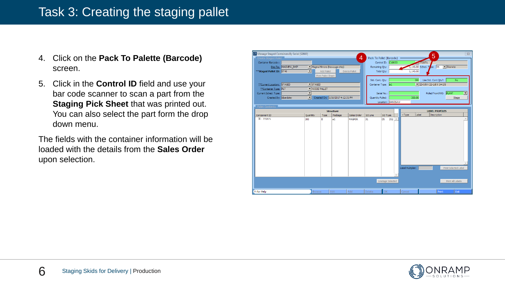### Task 3: Creating the staging pallet

- 4. Click on the **Pack To Palette (Barcode)**  screen.
- 5. Click in the **Control ID** field and use your bar code scanner to scan a part from the **Staging Pick Sheet** that was printed out. You can also select the part form the drop down menu.

The fields with the container information will be loaded with the details from the **Sales Order**  upon selection.



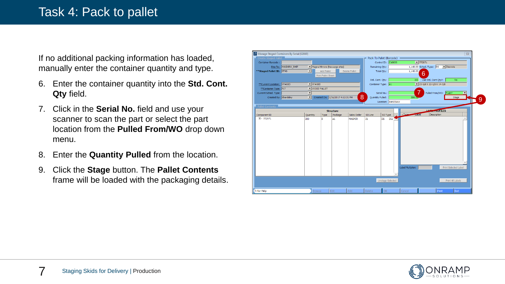If no additional packing information has loaded, manually enter the container quantity and type.

- 6. Enter the container quantity into the **Std. Cont. Qty** field.
- 7. Click in the **Serial No.** field and use your scanner to scan the part or select the part location from the **Pulled From/WO** drop down menu.
- 8. Enter the **Quantity Pulled** from the location.
- 9. Click the **Stage** button. The **Pallet Contents**  frame will be loaded with the packaging details.



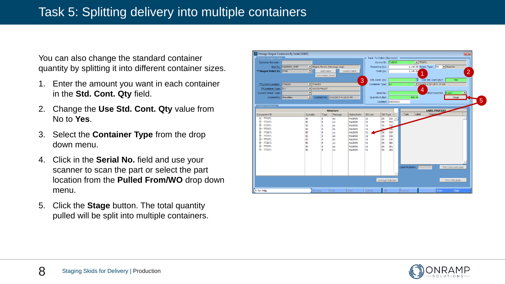### Task 5: Splitting delivery into multiple containers

You can also change the standard container quantity by splitting it into different container sizes.

- 1. Enter the amount you want in each container in the **Std. Cont. Qty** field.
- 2. Change the **Use Std. Cont. Qty** value from No to **Yes**.
- 3. Select the **Container Type** from the drop down menu.
- 4. Click in the **Serial No.** field and use your scanner to scan the part or select the part location from the **Pulled From/WO** drop down menu.
- 5. Click the **Stage** button. The total quantity pulled will be split into multiple containers.



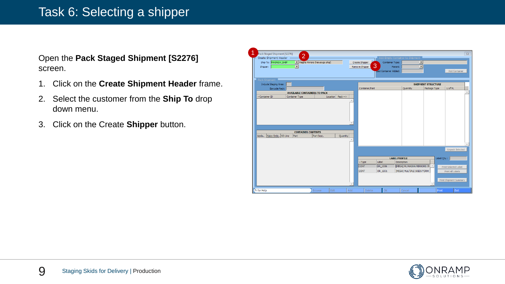### Task 6: Selecting a shipper

Open the **Pack Staged Shipment [S2276]**  screen.

- 1. Click on the **Create Shipment Header** frame.
- 2. Select the customer from the **Ship To** drop down menu.
- 3. Click on the Create **Shipper** button.

| 1<br>Pack Staged Shipment [S2276]<br>$\overline{2}$  |                                     |                     |                                 |                                           |                           |                        | $\overline{\mathbb{Z}}$ |
|------------------------------------------------------|-------------------------------------|---------------------|---------------------------------|-------------------------------------------|---------------------------|------------------------|-------------------------|
| Create Shipment Header                               |                                     |                     | Add Empty Container to Shipment |                                           |                           |                        |                         |
| Ship To: MAGNEW SHIP<br>Magna Mirrors (Newaygo ship) |                                     | Create Shipper      | Container Type:                 |                                           | $\overline{ }$            |                        |                         |
| $\overline{\phantom{a}}$<br>Shipper:                 |                                     | 3<br>Remove Shipper | Parent:                         |                                           | $\overline{\phantom{1}}$  |                        |                         |
|                                                      |                                     |                     | Last Container Added:           |                                           |                           | Add Container          |                         |
| Pack Shipment                                        |                                     |                     |                                 |                                           |                           |                        |                         |
| Include Staging Area:                                |                                     |                     |                                 |                                           | <b>SHIPMENT STRUCTURE</b> |                        |                         |
| Barcode Pack:                                        |                                     | Container/Part      |                                 | Quantity                                  | Package Type              | U of M.                |                         |
| <b>AVAILABLE CONTAINERS TO PACK</b>                  |                                     |                     |                                 |                                           |                           |                        | $\mathcal{A}$           |
| Container ID<br>Container Type                       | Location $\vert$ Pack $\rightarrow$ |                     |                                 |                                           |                           |                        |                         |
|                                                      |                                     |                     |                                 |                                           |                           |                        |                         |
|                                                      |                                     |                     |                                 |                                           |                           |                        |                         |
|                                                      |                                     |                     |                                 |                                           |                           |                        |                         |
|                                                      |                                     |                     |                                 |                                           |                           |                        |                         |
|                                                      |                                     |                     |                                 |                                           |                           |                        |                         |
|                                                      |                                     |                     |                                 |                                           |                           |                        |                         |
|                                                      |                                     |                     |                                 |                                           |                           |                        |                         |
| <b>CONTAINER CONTENTS</b>                            |                                     |                     |                                 |                                           |                           |                        |                         |
| Sales Orde SO Line<br>Part<br>Upda<br>Part Desc.     | Quantity                            |                     |                                 |                                           |                           |                        |                         |
|                                                      |                                     |                     |                                 |                                           |                           |                        |                         |
|                                                      |                                     |                     |                                 |                                           |                           |                        |                         |
|                                                      |                                     |                     |                                 |                                           |                           | <b>Unpack Selected</b> |                         |
|                                                      |                                     |                     |                                 |                                           |                           |                        |                         |
|                                                      |                                     |                     | <b>LABEL PROFILE</b><br>Label   |                                           |                           | Label Qty.:            |                         |
|                                                      |                                     | $-Type$<br>CONT     | OR_1006                         | Description<br>[MEGA] ML MAGNA MIRRORS 78 |                           |                        |                         |
|                                                      |                                     |                     |                                 |                                           |                           | Print Selected Label   |                         |
|                                                      |                                     | <b>CONT</b>         | OR_1031                         | [MEGA] MULTIPLE SKIDS FORM                |                           | Print All Labels       |                         |
|                                                      |                                     |                     |                                 |                                           |                           |                        |                         |
|                                                      |                                     |                     |                                 |                                           |                           | Print Shipment Summary |                         |
|                                                      |                                     |                     |                                 |                                           |                           |                        |                         |
| Edit<br>F1 for Help<br><b>Browse</b>                 | Add                                 | Delete              | ОK                              | Cancel                                    |                           | Exit<br>Print          |                         |

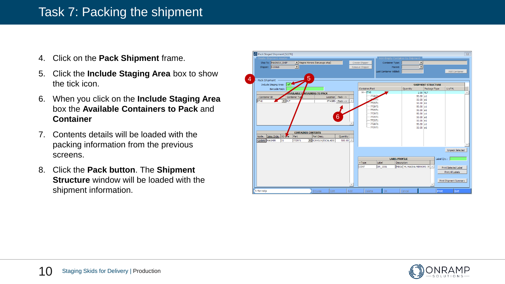### Task 7: Packing the shipment

- 4. Click on the **Pack Shipment** frame.
- 5. Click the **Include Staging Area** box to show the tick icon.
- 6. When you click on the **Include Staging Area**  box the **Available Containers to Pack** and **Container**
- 7. Contents details will be loaded with the packing information from the previous screens.
- 8. Click the **Pack button**. The **Shipment Structure** window will be loaded with the shipment information.



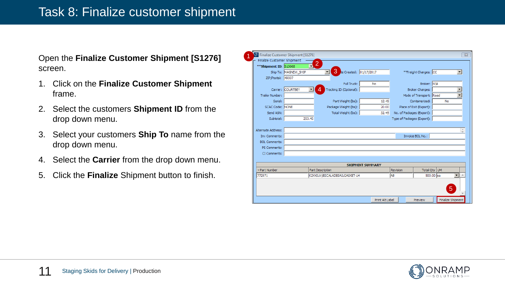Open the **Finalize Customer Shipment [S1276]**  screen.

- 1. Click on the **Finalize Customer Shipment**  frame.
- 2. Select the customers **Shipment ID** from the drop down menu.
- 3. Select your customers **Ship To** name from the drop down menu.
- 4. Select the **Carrier** from the drop down menu.
- 5. Click the **Finalize** Shipment button to finish.

| <b>E:</b> Finalize Customer Shipment [S1276]<br>$\Sigma$ |                      |                  |                               |                         |                  |                            |                         |    |                   |  |  |  |
|----------------------------------------------------------|----------------------|------------------|-------------------------------|-------------------------|------------------|----------------------------|-------------------------|----|-------------------|--|--|--|
| Finalize Customer Shipment                               |                      | $\overline{2}$   |                               |                         |                  |                            |                         |    |                   |  |  |  |
| ** Shipment ID: S10068                                   |                      |                  |                               |                         |                  |                            |                         |    |                   |  |  |  |
|                                                          | Ship To: MAGNEW SHIP |                  | 3<br>te Created: 01/17/2017   |                         |                  |                            | **Freight Charges: CC   |    | $\blacksquare$    |  |  |  |
| ZIP/Postal: 49337                                        |                      |                  |                               |                         |                  |                            |                         |    |                   |  |  |  |
|                                                          |                      |                  | Full Truck:                   |                         | <b>No</b>        |                            | Broker: N\A             |    |                   |  |  |  |
|                                                          | Carrier: COURTBEY    |                  | Tracking ID (Optional):       |                         |                  |                            | <b>Broker Charges:</b>  |    |                   |  |  |  |
| Trailer Number:                                          |                      |                  |                               |                         |                  |                            | Mode of Transport: Road |    |                   |  |  |  |
| Serial:                                                  |                      |                  | Part Weight (lbs):            |                         | 12.45            |                            | Containerized:          | No |                   |  |  |  |
| SCAC Code: NONE                                          |                      |                  | Package Weight (lbs):         |                         | 20.00            |                            | Place of Exit (Export): |    |                   |  |  |  |
| Send ASN:                                                |                      |                  | Total Weight (lbs):           |                         | 32.45            | No. of Packages (Export):  |                         |    |                   |  |  |  |
| Subtotal:                                                | 253.45               |                  |                               |                         |                  | Type of Packages (Export): |                         |    |                   |  |  |  |
|                                                          |                      |                  |                               |                         |                  |                            |                         |    |                   |  |  |  |
| Alternate Address:                                       |                      |                  |                               |                         |                  |                            |                         |    |                   |  |  |  |
| Inv Comments:                                            |                      |                  |                               |                         |                  |                            | Invoice BOL No.:        |    |                   |  |  |  |
| <b>BOL Comments:</b>                                     |                      |                  |                               |                         |                  |                            |                         |    |                   |  |  |  |
| PS Comments:                                             |                      |                  |                               |                         |                  |                            |                         |    |                   |  |  |  |
| CI Comments:                                             |                      |                  |                               |                         |                  |                            |                         |    |                   |  |  |  |
|                                                          |                      |                  |                               |                         |                  |                            |                         |    |                   |  |  |  |
|                                                          |                      |                  |                               | <b>SHIPMENT SUMMARY</b> |                  |                            |                         |    |                   |  |  |  |
| -Part Number                                             |                      | Part Description |                               |                         |                  |                            | Total Qty UM            |    |                   |  |  |  |
| 772971                                                   |                      |                  | K2XXSUV/ESCALADESAILGASKET-LH |                         | lАB<br>500.00 ea |                            |                         | ▼  |                   |  |  |  |
|                                                          |                      |                  |                               |                         |                  |                            |                         |    |                   |  |  |  |
|                                                          |                      |                  |                               |                         |                  |                            |                         |    | $\overline{5}$    |  |  |  |
|                                                          |                      |                  |                               |                         |                  |                            |                         |    |                   |  |  |  |
|                                                          |                      |                  |                               |                         | Print Alt Label  |                            | Preview                 |    | Finalize Shipment |  |  |  |